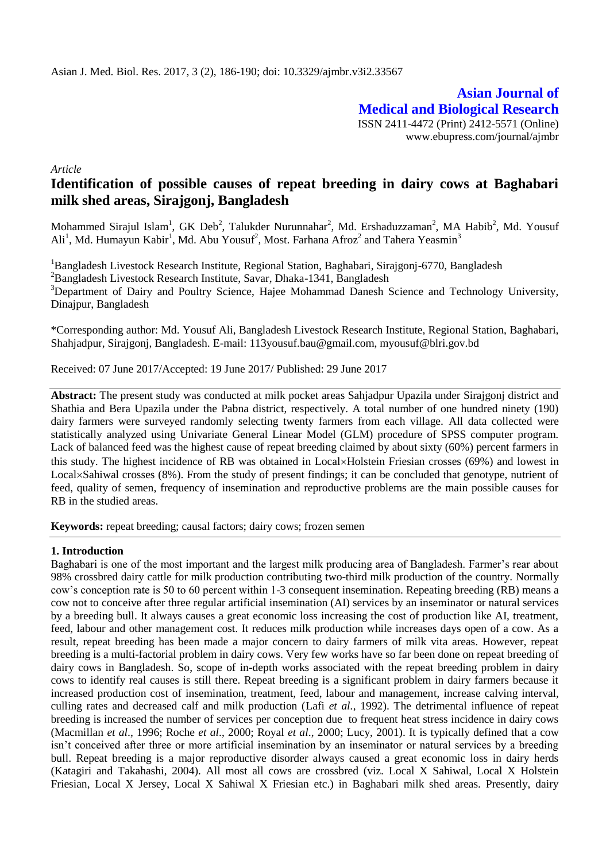**Asian Journal of Medical and Biological Research** ISSN 2411-4472 (Print) 2412-5571 (Online) www.ebupress.com/journal/ajmbr

*Article*

# **Identification of possible causes of repeat breeding in dairy cows at Baghabari milk shed areas, Sirajgonj, Bangladesh**

Mohammed Sirajul Islam<sup>1</sup>, GK Deb<sup>2</sup>, Talukder Nurunnahar<sup>2</sup>, Md. Ershaduzzaman<sup>2</sup>, MA Habib<sup>2</sup>, Md. Yousuf Ali<sup>1</sup>, Md. Humayun Kabir<sup>1</sup>, Md. Abu Yousuf<sup>2</sup>, Most. Farhana Afroz<sup>2</sup> and Tahera Yeasmin<sup>3</sup>

<sup>1</sup>Bangladesh Livestock Research Institute, Regional Station, Baghabari, Sirajgonj-6770, Bangladesh <sup>2</sup>Bangladesh Livestock Research Institute, Savar, Dhaka-1341, Bangladesh <sup>3</sup>Department of Dairy and Poultry Science, Hajee Mohammad Danesh Science and Technology University, Dinajpur, Bangladesh

\*Corresponding author: Md. Yousuf Ali, Bangladesh Livestock Research Institute, Regional Station, Baghabari, Shahjadpur, Sirajgonj, Bangladesh. E-mail: 113yousuf.bau@gmail.com, myousuf@blri.gov.bd

Received: 07 June 2017/Accepted: 19 June 2017/ Published: 29 June 2017

**Abstract:** The present study was conducted at milk pocket areas Sahjadpur Upazila under Sirajgonj district and Shathia and Bera Upazila under the Pabna district, respectively. A total number of one hundred ninety (190) dairy farmers were surveyed randomly selecting twenty farmers from each village. All data collected were statistically analyzed using Univariate General Linear Model (GLM) procedure of SPSS computer program. Lack of balanced feed was the highest cause of repeat breeding claimed by about sixty (60%) percent farmers in this study. The highest incidence of RB was obtained in Local×Holstein Friesian crosses (69%) and lowest in Local×Sahiwal crosses (8%). From the study of present findings; it can be concluded that genotype, nutrient of feed, quality of semen, frequency of insemination and reproductive problems are the main possible causes for RB in the studied areas.

**Keywords:** repeat breeding; causal factors; dairy cows; frozen semen

### **1. Introduction**

Baghabari is one of the most important and the largest milk producing area of Bangladesh. Farmer's rear about 98% crossbred dairy cattle for milk production contributing two-third milk production of the country. Normally cow's conception rate is 50 to 60 percent within 1-3 consequent insemination. Repeating breeding (RB) means a cow not to conceive after three regular artificial insemination (AI) services by an inseminator or natural services by a breeding bull. It always causes a great economic loss increasing the cost of production like AI, treatment, feed, labour and other management cost. It reduces milk production while increases days open of a cow. As a result, repeat breeding has been made a major concern to dairy farmers of milk vita areas. However, repeat breeding is a multi-factorial problem in dairy cows. Very few works have so far been done on repeat breeding of dairy cows in Bangladesh. So, scope of in-depth works associated with the repeat breeding problem in dairy cows to identify real causes is still there. Repeat breeding is a significant problem in dairy farmers because it increased production cost of insemination, treatment, feed, labour and management, increase calving interval, culling rates and decreased calf and milk production (Lafi *et al.*, 1992). The detrimental influence of repeat breeding is increased the number of services per conception due to frequent heat stress incidence in dairy cows (Macmillan *et al*., 1996; Roche *et al*., 2000; Royal *et al*., 2000; Lucy, 2001). It is typically defined that a cow isn't conceived after three or more artificial insemination by an inseminator or natural services by a breeding bull. Repeat breeding is a major reproductive disorder always caused a great economic loss in dairy herds (Katagiri and Takahashi, 2004). All most all cows are crossbred (viz. Local X Sahiwal, Local X Holstein Friesian, Local X Jersey, Local X Sahiwal X Friesian etc.) in Baghabari milk shed areas. Presently, dairy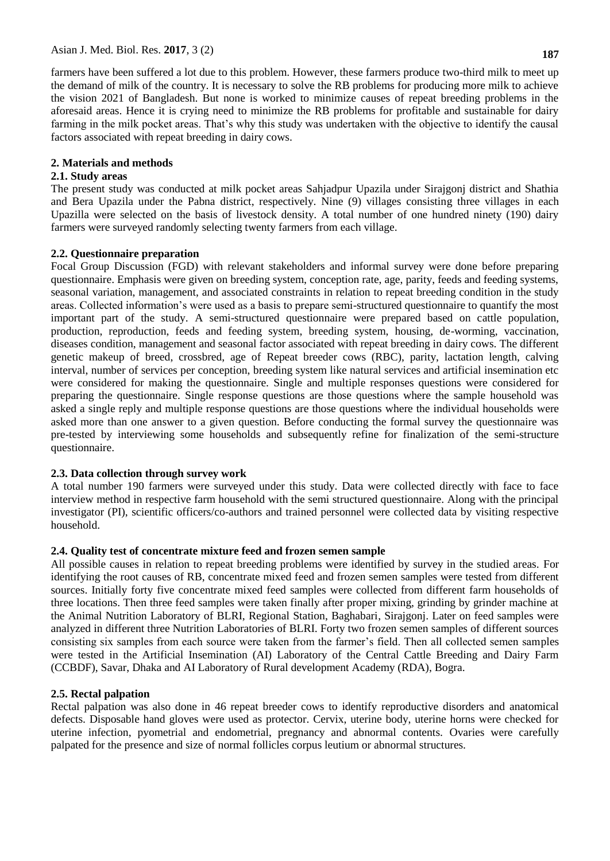farmers have been suffered a lot due to this problem. However, these farmers produce two-third milk to meet up the demand of milk of the country. It is necessary to solve the RB problems for producing more milk to achieve the vision 2021 of Bangladesh. But none is worked to minimize causes of repeat breeding problems in the aforesaid areas. Hence it is crying need to minimize the RB problems for profitable and sustainable for dairy farming in the milk pocket areas. That's why this study was undertaken with the objective to identify the causal factors associated with repeat breeding in dairy cows.

# **2. Materials and methods**

# **2.1. Study areas**

The present study was conducted at milk pocket areas Sahjadpur Upazila under Sirajgonj district and Shathia and Bera Upazila under the Pabna district, respectively. Nine (9) villages consisting three villages in each Upazilla were selected on the basis of livestock density. A total number of one hundred ninety (190) dairy farmers were surveyed randomly selecting twenty farmers from each village.

# **2.2. Questionnaire preparation**

Focal Group Discussion (FGD) with relevant stakeholders and informal survey were done before preparing questionnaire. Emphasis were given on breeding system, conception rate, age, parity, feeds and feeding systems, seasonal variation, management, and associated constraints in relation to repeat breeding condition in the study areas. Collected information's were used as a basis to prepare semi-structured questionnaire to quantify the most important part of the study. A semi-structured questionnaire were prepared based on cattle population, production, reproduction, feeds and feeding system, breeding system, housing, de-worming, vaccination, diseases condition, management and seasonal factor associated with repeat breeding in dairy cows. The different genetic makeup of breed, crossbred, age of Repeat breeder cows (RBC), parity, lactation length, calving interval, number of services per conception, breeding system like natural services and artificial insemination etc were considered for making the questionnaire. Single and multiple responses questions were considered for preparing the questionnaire. Single response questions are those questions where the sample household was asked a single reply and multiple response questions are those questions where the individual households were asked more than one answer to a given question. Before conducting the formal survey the questionnaire was pre-tested by interviewing some households and subsequently refine for finalization of the semi-structure questionnaire.

# **2.3. Data collection through survey work**

A total number 190 farmers were surveyed under this study. Data were collected directly with face to face interview method in respective farm household with the semi structured questionnaire. Along with the principal investigator (PI), scientific officers/co-authors and trained personnel were collected data by visiting respective household.

### **2.4. Quality test of concentrate mixture feed and frozen semen sample**

All possible causes in relation to repeat breeding problems were identified by survey in the studied areas. For identifying the root causes of RB, concentrate mixed feed and frozen semen samples were tested from different sources. Initially forty five concentrate mixed feed samples were collected from different farm households of three locations. Then three feed samples were taken finally after proper mixing, grinding by grinder machine at the Animal Nutrition Laboratory of BLRI, Regional Station, Baghabari, Sirajgonj. Later on feed samples were analyzed in different three Nutrition Laboratories of BLRI. Forty two frozen semen samples of different sources consisting six samples from each source were taken from the farmer's field. Then all collected semen samples were tested in the Artificial Insemination (AI) Laboratory of the Central Cattle Breeding and Dairy Farm (CCBDF), Savar, Dhaka and AI Laboratory of Rural development Academy (RDA), Bogra.

### **2.5. Rectal palpation**

Rectal palpation was also done in 46 repeat breeder cows to identify reproductive disorders and anatomical defects. Disposable hand gloves were used as protector. Cervix, uterine body, uterine horns were checked for uterine infection, pyometrial and endometrial, pregnancy and abnormal contents. Ovaries were carefully palpated for the presence and size of normal follicles corpus leutium or abnormal structures.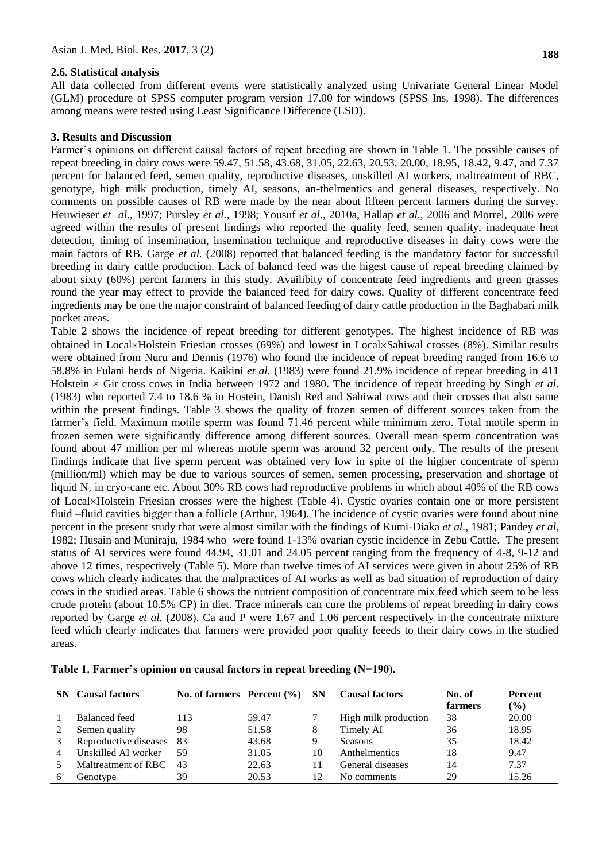#### **2.6. Statistical analysis**

All data collected from different events were statistically analyzed using Univariate General Linear Model (GLM) procedure of SPSS computer program version 17.00 for windows (SPSS Ins. 1998). The differences among means were tested using Least Significance Difference (LSD).

#### **3. Results and Discussion**

Farmer's opinions on different causal factors of repeat breeding are shown in Table 1. The possible causes of repeat breeding in dairy cows were 59.47, 51.58, 43.68, 31.05, 22.63, 20.53, 20.00, 18.95, 18.42, 9.47, and 7.37 percent for balanced feed, semen quality, reproductive diseases, unskilled AI workers, maltreatment of RBC, genotype, high milk production, timely AI, seasons, an-thelmentics and general diseases, respectively. No comments on possible causes of RB were made by the near about fifteen percent farmers during the survey. Heuwieser *et al.,* 1997; Pursley *et al.,* 1998; Yousuf *et al*., 2010a, Hallap *et al.,* 2006 and Morrel, 2006 were agreed within the results of present findings who reported the quality feed, semen quality, inadequate heat detection, timing of insemination, insemination technique and reproductive diseases in dairy cows were the main factors of RB. Garge *et al.* (2008) reported that balanced feeding is the mandatory factor for successful breeding in dairy cattle production. Lack of balancd feed was the higest cause of repeat breeding claimed by about sixty (60%) percnt farmers in this study. Availibity of concentrate feed ingredients and green grasses round the year may effect to provide the balanced feed for dairy cows. Quality of different concentrate feed ingredients may be one the major constraint of balanced feeding of dairy cattle production in the Baghabari milk pocket areas.

Table 2 shows the incidence of repeat breeding for different genotypes. The highest incidence of RB was obtained in Local×Holstein Friesian crosses (69%) and lowest in Local×Sahiwal crosses (8%). Similar results were obtained from Nuru and Dennis (1976) who found the incidence of repeat breeding ranged from 16.6 to 58.8% in Fulani herds of Nigeria. Kaikini *et al.* (1983) were found 21.9% incidence of repeat breeding in 411 Holstein × Gir cross cows in India between 1972 and 1980. The incidence of repeat breeding by Singh *et al*. (1983) who reported 7.4 to 18.6 % in Hostein, Danish Red and Sahiwal cows and their crosses that also same within the present findings. Table 3 shows the quality of frozen semen of different sources taken from the farmer's field. Maximum motile sperm was found 71.46 percent while minimum zero. Total motile sperm in frozen semen were significantly difference among different sources. Overall mean sperm concentration was found about 47 million per ml whereas motile sperm was around 32 percent only. The results of the present findings indicate that live sperm percent was obtained very low in spite of the higher concentrate of sperm (million/ml) which may be due to various sources of semen, semen processing, preservation and shortage of liquid  $N_2$  in cryo-cane etc. About 30% RB cows had reproductive problems in which about 40% of the RB cows of Local×Holstein Friesian crosses were the highest (Table 4). Cystic ovaries contain one or more persistent fluid –fluid cavities bigger than a follicle (Arthur, 1964). The incidence of cystic ovaries were found about nine percent in the present study that were almost similar with the findings of Kumi-Diaka *et al.*, 1981; Pandey *et al*, 1982; Husain and Muniraju, 1984 who were found 1-13% ovarian cystic incidence in Zebu Cattle. The present status of AI services were found 44.94, 31.01 and 24.05 percent ranging from the frequency of 4-8, 9-12 and above 12 times, respectively (Table 5). More than twelve times of AI services were given in about 25% of RB cows which clearly indicates that the malpractices of AI works as well as bad situation of reproduction of dairy cows in the studied areas. Table 6 shows the nutrient composition of concentrate mix feed which seem to be less crude protein (about 10.5% CP) in diet. Trace minerals can cure the problems of repeat breeding in dairy cows reported by Garge *et al.* (2008). Ca and P were 1.67 and 1.06 percent respectively in the concentrate mixture feed which clearly indicates that farmers were provided poor quality feeeds to their dairy cows in the studied areas.

| <b>SN</b> Causal factors | No. of farmers Percent $(\% )$ |       | <b>SN</b> | <b>Causal factors</b> | No. of<br>farmers | <b>Percent</b><br>$\mathcal{O}(6)$ |
|--------------------------|--------------------------------|-------|-----------|-----------------------|-------------------|------------------------------------|
| Balanced feed            | 113                            | 59.47 |           | High milk production  | 38                | 20.00                              |
| Semen quality            | 98                             | 51.58 | 8         | Timely AI             | 36                | 18.95                              |
| Reproductive diseases 83 |                                | 43.68 | Ч         | <b>Seasons</b>        | 35                | 18.42                              |
| Unskilled AI worker      | 59                             | 31.05 | 10        | Anthelmentics         | 18                | 9.47                               |
| Maltreatment of RBC      | 43                             | 22.63 |           | General diseases      | 14                | 7.37                               |
| Genotype                 | 39                             | 20.53 |           | No comments           | 29                | 15.26                              |

**Table 1. Farmer's opinion on causal factors in repeat breeding (N=190).**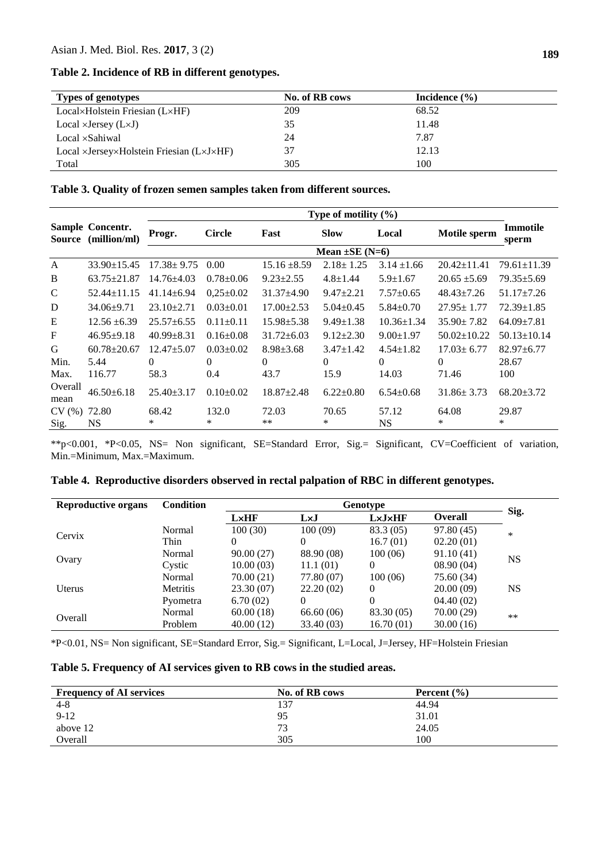### **Table 2. Incidence of RB in different genotypes.**

| <b>Types of genotypes</b>                | No. of RB cows | Incidence $(\% )$ |
|------------------------------------------|----------------|-------------------|
| Local×Holstein Friesian (L×HF)           | 209            | 68.52             |
| Local $\times$ Jersey (L $\times$ J)     | 35             | 11.48             |
| Local ×Sahiwal                           | 24             | 7.87              |
| Local ×Jersey×Holstein Friesian (L×J×HF) | 37             | 12.13             |
| Total                                    | 305            | 100               |

### **Table 3. Quality of frozen semen samples taken from different sources.**

|                 |                                         | Type of motility $(\% )$ |                 |                  |                 |                  |                     |                   |
|-----------------|-----------------------------------------|--------------------------|-----------------|------------------|-----------------|------------------|---------------------|-------------------|
|                 | Sample Concentr.<br>Source (million/ml) | Progr.                   | <b>Circle</b>   | Fast             | <b>Slow</b>     | Local            | <b>Motile sperm</b> | Immotile<br>sperm |
|                 |                                         | Mean $\pm$ SE (N=6)      |                 |                  |                 |                  |                     |                   |
| $\mathbf{A}$    | $33.90 \pm 15.45$                       | $17.38 \pm 9.75$         | 0.00            | $15.16 \pm 8.59$ | $2.18 \pm 1.25$ | $3.14 \pm 1.66$  | $20.42 \pm 11.41$   | 79.61±11.39       |
| B               | $63.75 \pm 21.87$                       | $14.76 \pm 4.03$         | $0.78 \pm 0.06$ | $9.23 \pm 2.55$  | $4.8 \pm 1.44$  | $5.9 \pm 1.67$   | $20.65 \pm 5.69$    | $79.35 \pm 5.69$  |
| C               | $52.44 \pm 11.15$                       | $41.14 \pm 6.94$         | $0,25\pm0.02$   | $31.37 \pm 4.90$ | $9.47 \pm 2.21$ | $7.57 \pm 0.65$  | $48.43 \pm 7.26$    | $51.17 \pm 7.26$  |
| D               | $34.06 \pm 9.71$                        | $23.10 \pm 2.71$         | $0.03 \pm 0.01$ | $17.00 \pm 2.53$ | $5.04 \pm 0.45$ | $5.84 \pm 0.70$  | $27.95 \pm 1.77$    | $72.39 \pm 1.85$  |
| E               | $12.56 \pm 6.39$                        | $25.57 \pm 6.55$         | $0.11 \pm 0.11$ | $15.98 \pm 5.38$ | $9.49 \pm 1.38$ | $10.36 \pm 1.34$ | $35.90 \pm 7.82$    | $64.09 \pm 7.81$  |
| $\mathbf{F}$    | $46.95 \pm 9.18$                        | $40.99 \pm 8.31$         | $0.16 \pm 0.08$ | $31.72 \pm 6.03$ | $9.12 \pm 2.30$ | $9.00 \pm 1.97$  | $50.02 \pm 10.22$   | $50.13 \pm 10.14$ |
| G               | $60.78 \pm 20.67$                       | $12.47 + 5.07$           | $0.03 \pm 0.02$ | $8.98 \pm 3.68$  | $3.47 \pm 1.42$ | $4.54 \pm 1.82$  | $17.03 \pm 6.77$    | $82.97 + 6.77$    |
| Min.            | 5.44                                    | $\theta$                 | 0               | $\theta$         | 0               | $\theta$         | $\Omega$            | 28.67             |
| Max.            | 116.77                                  | 58.3                     | 0.4             | 43.7             | 15.9            | 14.03            | 71.46               | 100               |
| Overall<br>mean | $46.50 \pm 6.18$                        | $25.40 \pm 3.17$         | $0.10+0.02$     | $18.87 + 2.48$   | $6.22 \pm 0.80$ | $6.54 \pm 0.68$  | $31.86 \pm 3.73$    | $68.20 \pm 3.72$  |
| CV(%)           | 72.80                                   | 68.42                    | 132.0           | 72.03            | 70.65           | 57.12            | 64.08               | 29.87             |
| Sig.            | <b>NS</b>                               | ∗                        | *               | $***$            | *               | <b>NS</b>        | *                   | *                 |

\*\*p<0.001, \*P<0.05, NS= Non significant, SE=Standard Error, Sig.= Significant, CV=Coefficient of variation, Min.=Minimum, Max.=Maximum.

# **Table 4. Reproductive disorders observed in rectal palpation of RBC in different genotypes.**

| <b>Reproductive organs</b> | <b>Condition</b> |             |              |               |                |           |
|----------------------------|------------------|-------------|--------------|---------------|----------------|-----------|
|                            |                  | <b>L×HF</b> | $L \times J$ | <b>L×J×HF</b> | <b>Overall</b> | Sig.      |
| Cervix                     | Normal           | 100(30)     | 100(09)      | 83.3 (05)     | 97.80(45)      | *         |
|                            | Thin             | $\Omega$    | 0            | 16.7(01)      | 02.20(01)      |           |
|                            | Normal           | 90.00(27)   | 88.90 (08)   | 100(06)       | 91.10(41)      | NS        |
| Ovary                      | Cystic           | 10.00(03)   | 11.1(01)     | $\theta$      | 08.90(04)      |           |
|                            | Normal           | 70.00(21)   | 77.80 (07)   | 100(06)       | 75.60 (34)     |           |
| Uterus                     | <b>Metritis</b>  | 23.30(07)   | 22.20(02)    | $\Omega$      | 20.00(09)      | <b>NS</b> |
|                            | Pyometra         | 6.70(02)    | 0            | $\Omega$      | 04.40(02)      |           |
|                            | Normal           | 60.00(18)   | 66.60(06)    | 83.30 (05)    | 70.00(29)      | $***$     |
| Overall                    | Problem          | 40.00(12)   | 33.40(03)    | 16.70(01)     | 30.00(16)      |           |

\*P<0.01, NS= Non significant, SE=Standard Error, Sig.= Significant, L=Local, J=Jersey, HF=Holstein Friesian

# **Table 5. Frequency of AI services given to RB cows in the studied areas.**

| <b>Frequency of AI services</b> | No. of RB cows | Percent $(\% )$ |
|---------------------------------|----------------|-----------------|
| $4 - 8$                         | 137            | 44.94           |
| $9 - 12$                        | 95             | 31.01           |
| above 12                        | 73             | 24.05           |
| Overall                         | 305            | 100             |